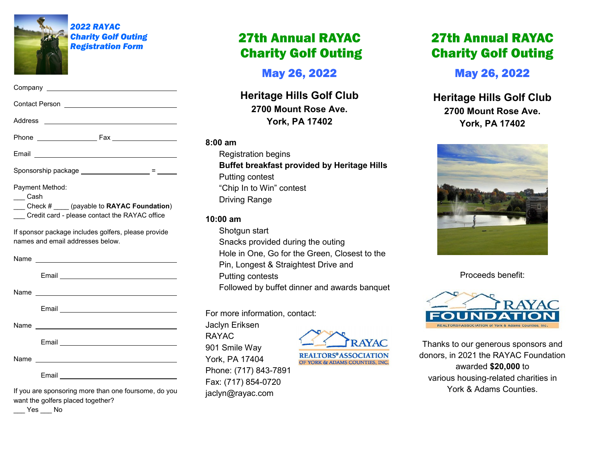

*2022 RAYAC Charity Golf Outing Registration Form*

| Email 2008 - 2009 - 2010 - 2010 - 2010 - 2010 - 2011 - 2012 - 2012 - 2013 - 2014 - 2014 - 2014 - 201                                                                                                                                 |
|--------------------------------------------------------------------------------------------------------------------------------------------------------------------------------------------------------------------------------------|
| Sponsorship package ____________________ = _____                                                                                                                                                                                     |
| Payment Method:<br>$\equiv$ Cash<br>$\frac{1}{\sqrt{1-\frac{1}{2}}}\text{Check }#$ (payable to RAYAC Foundation)<br>__ Credit card - please contact the RAYAC office                                                                 |
| If sponsor package includes golfers, please provide<br>names and email addresses below.                                                                                                                                              |
|                                                                                                                                                                                                                                      |
| Email <b>Exercise Contract Contract Contract Contract Contract Contract Contract Contract Contract Contract Contract Contract Contract Contract Contract Contract Contract Contract Contract Contract Contract Contract Contract</b> |
| Name <u>______________________</u>                                                                                                                                                                                                   |

Email

Name

Email

Name

Email

If you are sponsoring more than one foursome, do you want the golfers placed together?

<u> 1989 - Johann Barbara, martin amerikan basal dan berasal dalam basal dalam basal dalam basal dalam basal dala</u>

 $\rule{1em}{0.15mm}$  Yes  $\rule{1em}{0.15mm}$  No

# 27th Annual RAYAC Charity Golf Outing

May 26, 2022

**Heritage Hills Golf Club 2700 Mount Rose Ave. York, PA 17402**

## **8:00 am**

Registration begins **Buffet breakfast provided by Heritage Hills** Putting contest "Chip In to Win" contest Driving Range

# **10:00 am**

Shotgun start Snacks provided during the outing Hole in One, Go for the Green, Closest to the Pin, Longest & Straightest Drive and Putting contests Followed by buffet dinner and awards banquet

For more information, contact:

Jaclyn Eriksen RAYAC 901 Smile Way York, PA 17404 Phone: (717) 843-7891 Fax: (717) 854-0720 jaclyn@rayac.com



**REALTORS®ASSOCIATION** OF YORK & ADAMS COUNTIES, INC.

# 27th Annual RAYAC Charity Golf Outing

May 26, 2022

**Heritage Hills Golf Club 2700 Mount Rose Ave. York, PA 17402**



Proceeds benefit:



Thanks to our generous sponsors and donors, in 2021 the RAYAC Foundation awarded **\$20,000** to various housing-related charities in York & Adams Counties.